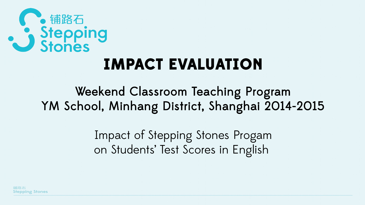

### **IMPACT EVALUATION**

#### Weekend Classroom Teaching Program YM School, Minhang District, Shanghai 2014-2015

Impact of Stepping Stones Progam on Students' Test Scores in English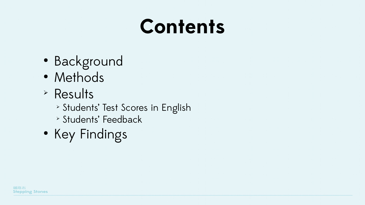# **Contents**

- Background
- Methods
- ➢ Results
	- ➢ Students' Test Scores in English
	- ➢ Students' Feedback
- Key Findings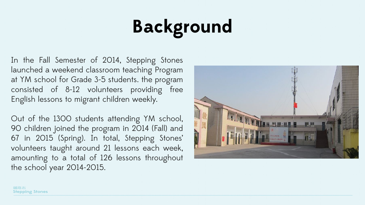# **Background**

In the Fall Semester of 2014, Stepping Stones launched a weekend classroom teaching Program at YM school for Grade 3-5 students. the program consisted of 8-12 volunteers providing free English lessons to migrant children weekly.

Out of the 1300 students attending YM school, 90 children joined the program in 2014 (Fall) and 67 in 2015 (Spring). In total, Stepping Stones' volunteers taught around 21 lessons each week, amounting to a total of 126 lessons throughout the school year 2014-2015.

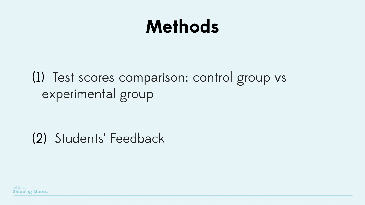### **Methods**

#### (1) Test scores comparison: control group vs experimental group

#### (2) Students' Feedback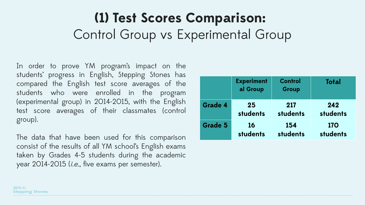#### **(1) Test Scores Comparison:**  Control Group vs Experimental Group

In order to prove YM program's impact on the students' progress in English, Stepping Stones has compared the English test score averages of the students who were enrolled in the program (experimental group) in 2014-2015, with the English test score averages of their classmates (control group).

The data that have been used for this comparison consist of the results of all YM school's English exams taken by Grades 4-5 students during the academic year 2014-2015 (*i.e.*, five exams per semester).

|                | <b>Experiment</b><br>al Group | <b>Control</b><br><b>Group</b> | <b>Total</b> |
|----------------|-------------------------------|--------------------------------|--------------|
| <b>Grade 4</b> | 25                            | 217                            | 242          |
|                | students                      | students                       | students     |
| <b>Grade 5</b> | <b>16</b>                     | 154                            | <b>170</b>   |
|                | students                      | students                       | students     |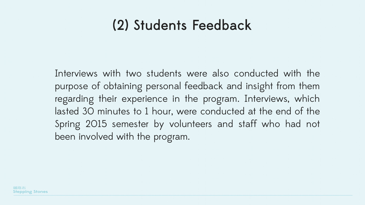#### (2) Students Feedback

Interviews with two students were also conducted with the purpose of obtaining personal feedback and insight from them regarding their experience in the program. Interviews, which lasted 30 minutes to 1 hour, were conducted at the end of the Spring 2015 semester by volunteers and staff who had not been involved with the program.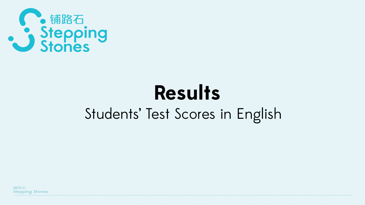

## **Results** Students' Test Scores in English

鋪路石 **Stepping Stones**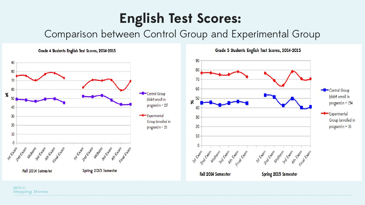#### **English Test Scores:**

Comparison between Control Group and Experimental Group

90







鋪路石 **Stepping Stones**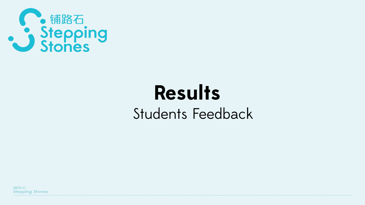

### **Results** Students Feedback

鋪路石 **Stepping Stones**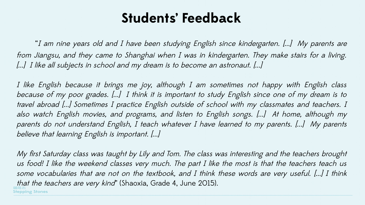#### **Students' Feedback**

 "I am nine years old and I have been studying English since kindergarten. [...] My parents are from Jiangsu, and they came to Shanghai when I was in kindergarten. They make stairs for a living. [...] I like all subjects in school and my dream is to become an astronaut. [...]

I like English because it brings me joy, although I am sometimes not happy with English class because of my poor grades. [...] I think it is important to study English since one of my dream is to travel abroad [...] Sometimes I practice English outside of school with my classmates and teachers. I also watch English movies, and programs, and listen to English songs. [...] At home, although my parents do not understand English, I teach whatever I have learned to my parents. [...] My parents believe that learning English is important. [...]

My first Saturday class was taught by Lily and Tom. The class was interesting and the teachers brought us food! I like the weekend classes very much. The part I like the most is that the teachers teach us some vocabularies that are not on the textbook, and I think these words are very useful. [...] I think that the teachers are very kind' (Shaoxia, Grade 4, June 2015). **Stepping Stones**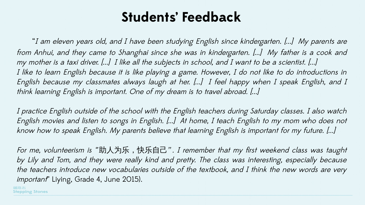#### **Students' Feedback**

 "I am eleven years old, and I have been studying English since kindergarten. [...] My parents are from Anhui, and they came to Shanghai since she was in kindergarten. [...] My father is a cook and my mother is a taxi driver. [...] I like all the subjects in school, and I want to be a scientist. [...] I like to learn English because it is like playing a game. However, I do not like to do introductions in English because my classmates always laugh at her. [...] I feel happy when I speak English, and I think learning English is important. One of my dream is to travel abroad. [...]

I practice English outside of the school with the English teachers during Saturday classes. I also watch English movies and listen to songs in English. [...] At home, I teach English to my mom who does not know how to speak English. My parents believe that learning English is important for my future. [...]

For me, volunteerism is "助人为乐,快乐自己". I remember that my first weekend class was taught by Lily and Tom, and they were really kind and pretty. The class was interesting, especially because the teachers introduce new vocabularies outside of the textbook, and I think the new words are very important" Liying, Grade 4, June 2015).

**Stepping Stones**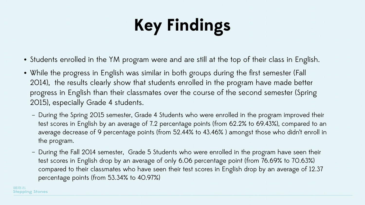# **Key Findings**

- Students enrolled in the YM program were and are still at the top of their class in English.
- While the progress in English was similar in both groups during the first semester (Fall 2014), the results clearly show that students enrolled in the program have made better progress in English than their classmates over the course of the second semester (Spring 2015), especially Grade 4 students.
	- During the Spring 2015 semester, Grade 4 Students who were enrolled in the program improved their test scores in English by an average of 7.2 percentage points (from 62.2% to 69.43%), compared to an average decrease of 9 percentage points (from 52.44% to 43.46% ) amongst those who didn't enroll in the program.
	- During the Fall 2014 semester, Grade 5 Students who were enrolled in the program have seen their test scores in English drop by an average of only 6.06 percentage point (from 76.69% to 70.63%) compared to their classmates who have seen their test scores in English drop by an average of 12.37 percentage points (from 53.34% to 40.97%)